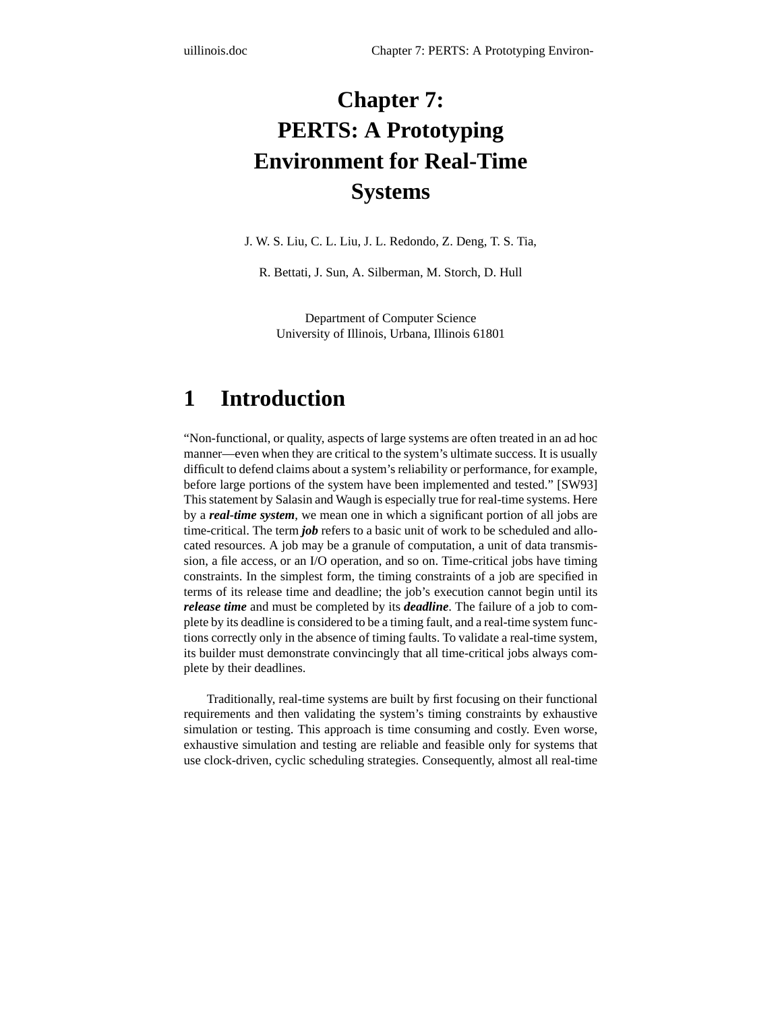# **Chapter 7: PERTS: A Prototyping Environment for Real-Time Systems**

J. W. S. Liu, C. L. Liu, J. L. Redondo, Z. Deng, T. S. Tia,

R. Bettati, J. Sun, A. Silberman, M. Storch, D. Hull

Department of Computer Science University of Illinois, Urbana, Illinois 61801

# **1 Introduction**

"Non-functional, or quality, aspects of large systems are often treated in an ad hoc manner—even when they are critical to the system's ultimate success. It is usually difficult to defend claims about a system's reliability or performance, for example, before large portions of the system have been implemented and tested." [SW93] This statement by Salasin and Waugh is especially true for real-time systems. Here by a *real-time system*, we mean one in which a significant portion of all jobs are time-critical. The term *job* refers to a basic unit of work to be scheduled and allocated resources. A job may be a granule of computation, a unit of data transmission, a file access, or an I/O operation, and so on. Time-critical jobs have timing constraints. In the simplest form, the timing constraints of a job are specified in terms of its release time and deadline; the job's execution cannot begin until its *release time* and must be completed by its *deadline*. The failure of a job to complete by its deadline is considered to be a timing fault, and a real-time system functions correctly only in the absence of timing faults. To validate a real-time system, its builder must demonstrate convincingly that all time-critical jobs always complete by their deadlines.

Traditionally, real-time systems are built by first focusing on their functional requirements and then validating the system's timing constraints by exhaustive simulation or testing. This approach is time consuming and costly. Even worse, exhaustive simulation and testing are reliable and feasible only for systems that use clock-driven, cyclic scheduling strategies. Consequently, almost all real-time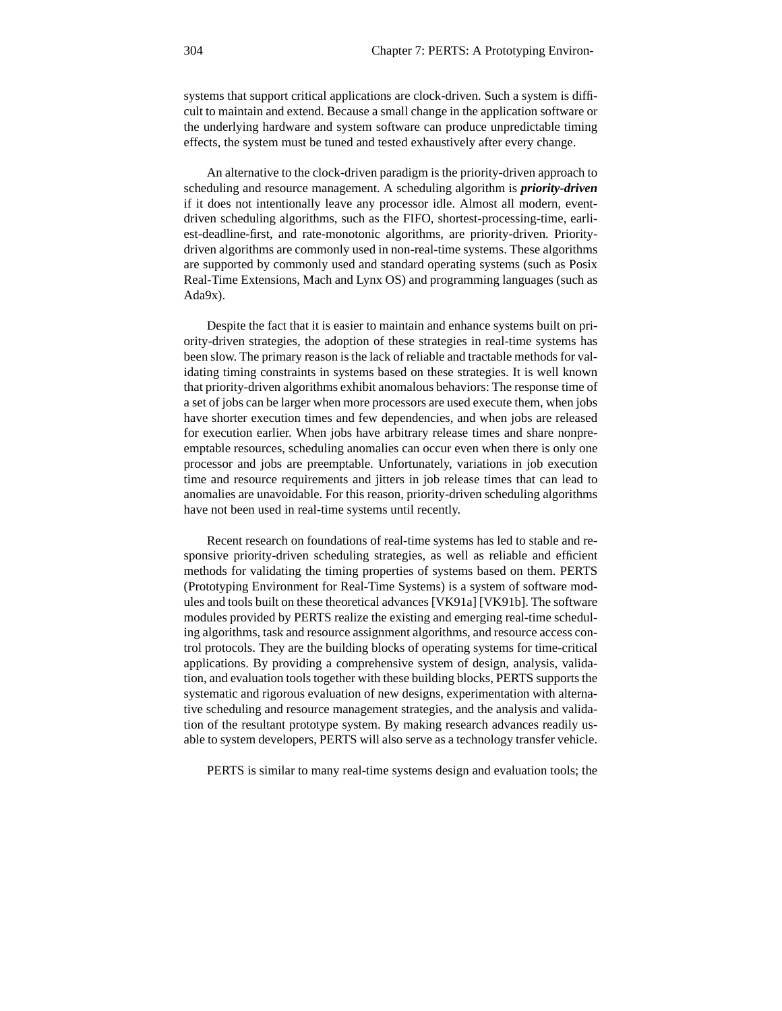systems that support critical applications are clock-driven. Such a system is difficult to maintain and extend. Because a small change in the application software or the underlying hardware and system software can produce unpredictable timing effects, the system must be tuned and tested exhaustively after every change.

An alternative to the clock-driven paradigm is the priority-driven approach to scheduling and resource management. A scheduling algorithm is *priority-driven* if it does not intentionally leave any processor idle. Almost all modern, eventdriven scheduling algorithms, such as the FIFO, shortest-processing-time, earliest-deadline-first, and rate-monotonic algorithms, are priority-driven. Prioritydriven algorithms are commonly used in non-real-time systems. These algorithms are supported by commonly used and standard operating systems (such as Posix Real-Time Extensions, Mach and Lynx OS) and programming languages (such as Ada9x).

Despite the fact that it is easier to maintain and enhance systems built on priority-driven strategies, the adoption of these strategies in real-time systems has been slow. The primary reason is the lack of reliable and tractable methods for validating timing constraints in systems based on these strategies. It is well known that priority-driven algorithms exhibit anomalous behaviors: The response time of a set of jobs can be larger when more processors are used execute them, when jobs have shorter execution times and few dependencies, and when jobs are released for execution earlier. When jobs have arbitrary release times and share nonpreemptable resources, scheduling anomalies can occur even when there is only one processor and jobs are preemptable. Unfortunately, variations in job execution time and resource requirements and jitters in job release times that can lead to anomalies are unavoidable. For this reason, priority-driven scheduling algorithms have not been used in real-time systems until recently.

Recent research on foundations of real-time systems has led to stable and responsive priority-driven scheduling strategies, as well as reliable and efficient methods for validating the timing properties of systems based on them. PERTS (Prototyping Environment for Real-Time Systems) is a system of software modules and tools built on these theoretical advances [VK91a] [VK91b]. The software modules provided by PERTS realize the existing and emerging real-time scheduling algorithms, task and resource assignment algorithms, and resource access control protocols. They are the building blocks of operating systems for time-critical applications. By providing a comprehensive system of design, analysis, validation, and evaluation tools together with these building blocks, PERTS supports the systematic and rigorous evaluation of new designs, experimentation with alternative scheduling and resource management strategies, and the analysis and validation of the resultant prototype system. By making research advances readily usable to system developers, PERTS will also serve as a technology transfer vehicle.

PERTS is similar to many real-time systems design and evaluation tools; the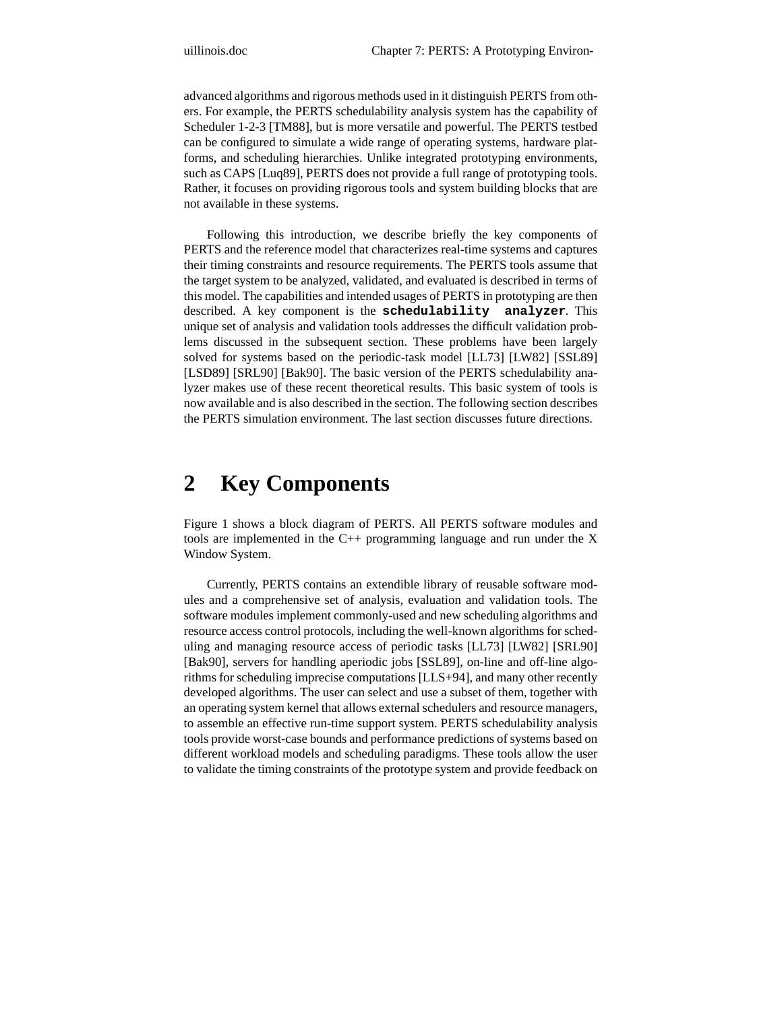advanced algorithms and rigorous methods used in it distinguish PERTS from others. For example, the PERTS schedulability analysis system has the capability of Scheduler 1-2-3 [TM88], but is more versatile and powerful. The PERTS testbed can be configured to simulate a wide range of operating systems, hardware platforms, and scheduling hierarchies. Unlike integrated prototyping environments, such as CAPS [Luq89], PERTS does not provide a full range of prototyping tools. Rather, it focuses on providing rigorous tools and system building blocks that are not available in these systems.

Following this introduction, we describe briefly the key components of PERTS and the reference model that characterizes real-time systems and captures their timing constraints and resource requirements. The PERTS tools assume that the target system to be analyzed, validated, and evaluated is described in terms of this model. The capabilities and intended usages of PERTS in prototyping are then described. A key component is the **schedulability analyzer**. This unique set of analysis and validation tools addresses the difficult validation problems discussed in the subsequent section. These problems have been largely solved for systems based on the periodic-task model [LL73] [LW82] [SSL89] [LSD89] [SRL90] [Bak90]. The basic version of the PERTS schedulability analyzer makes use of these recent theoretical results. This basic system of tools is now available and is also described in the section. The following section describes the PERTS simulation environment. The last section discusses future directions.

## **2 Key Components**

Figure 1 shows a block diagram of PERTS. All PERTS software modules and tools are implemented in the C++ programming language and run under the X Window System.

Currently, PERTS contains an extendible library of reusable software modules and a comprehensive set of analysis, evaluation and validation tools. The software modules implement commonly-used and new scheduling algorithms and resource access control protocols, including the well-known algorithms for scheduling and managing resource access of periodic tasks [LL73] [LW82] [SRL90] [Bak90], servers for handling aperiodic jobs [SSL89], on-line and off-line algorithms for scheduling imprecise computations [LLS+94], and many other recently developed algorithms. The user can select and use a subset of them, together with an operating system kernel that allows external schedulers and resource managers, to assemble an effective run-time support system. PERTS schedulability analysis tools provide worst-case bounds and performance predictions of systems based on different workload models and scheduling paradigms. These tools allow the user to validate the timing constraints of the prototype system and provide feedback on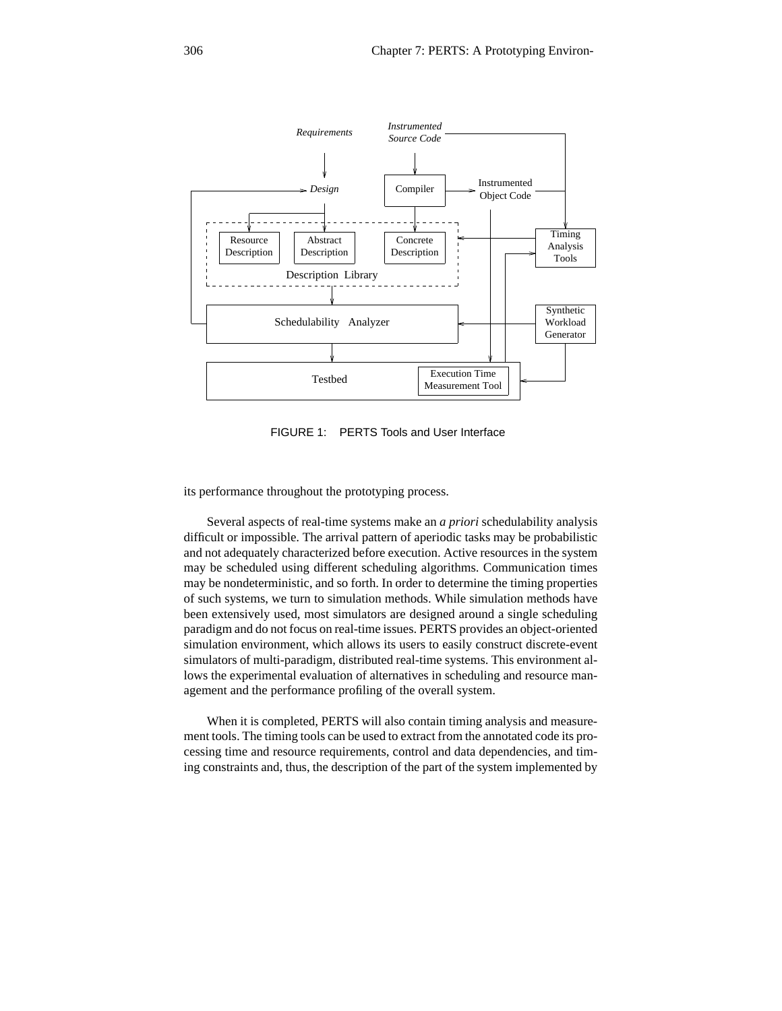

FIGURE 1: PERTS Tools and User Interface

its performance throughout the prototyping process.

Several aspects of real-time systems make an *a priori* schedulability analysis difficult or impossible. The arrival pattern of aperiodic tasks may be probabilistic and not adequately characterized before execution. Active resources in the system may be scheduled using different scheduling algorithms. Communication times may be nondeterministic, and so forth. In order to determine the timing properties of such systems, we turn to simulation methods. While simulation methods have been extensively used, most simulators are designed around a single scheduling paradigm and do not focus on real-time issues. PERTS provides an object-oriented simulation environment, which allows its users to easily construct discrete-event simulators of multi-paradigm, distributed real-time systems. This environment allows the experimental evaluation of alternatives in scheduling and resource management and the performance profiling of the overall system.

When it is completed, PERTS will also contain timing analysis and measurement tools. The timing tools can be used to extract from the annotated code its processing time and resource requirements, control and data dependencies, and timing constraints and, thus, the description of the part of the system implemented by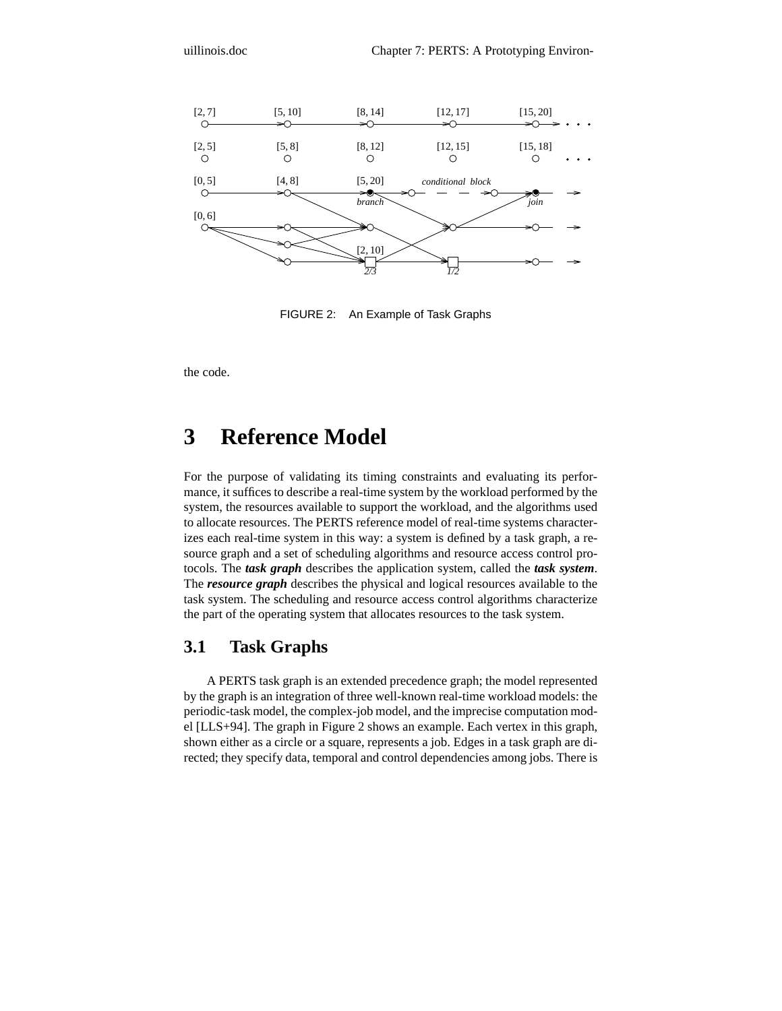

FIGURE 2: An Example of Task Graphs

the code.

# **3 Reference Model**

For the purpose of validating its timing constraints and evaluating its performance, it suffices to describe a real-time system by the workload performed by the system, the resources available to support the workload, and the algorithms used to allocate resources. The PERTS reference model of real-time systems characterizes each real-time system in this way: a system is defined by a task graph, a resource graph and a set of scheduling algorithms and resource access control protocols. The *task graph* describes the application system, called the *task system*. The *resource graph* describes the physical and logical resources available to the task system. The scheduling and resource access control algorithms characterize the part of the operating system that allocates resources to the task system.

### **3.1 Task Graphs**

A PERTS task graph is an extended precedence graph; the model represented by the graph is an integration of three well-known real-time workload models: the periodic-task model, the complex-job model, and the imprecise computation model [LLS+94]. The graph in Figure 2 shows an example. Each vertex in this graph, shown either as a circle or a square, represents a job. Edges in a task graph are directed; they specify data, temporal and control dependencies among jobs. There is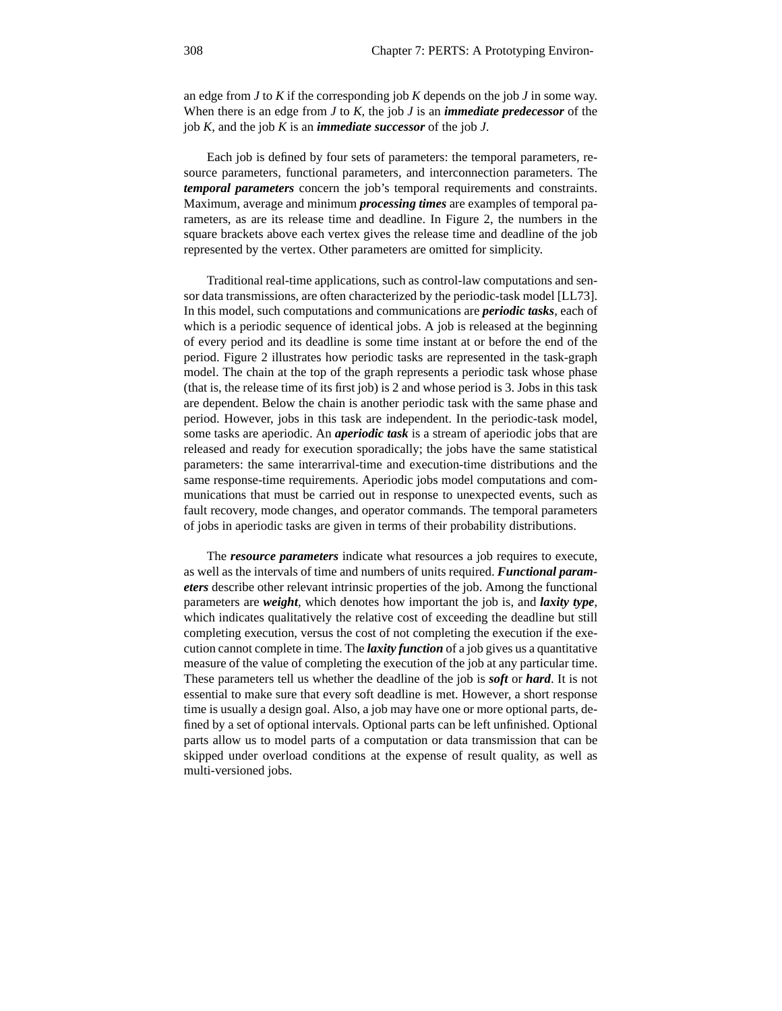an edge from *J* to *K* if the corresponding job *K* depends on the job *J* in some way. When there is an edge from *J* to *K*, the job *J* is an *immediate predecessor* of the job *K*, and the job *K* is an *immediate successor* of the job *J*.

Each job is defined by four sets of parameters: the temporal parameters, resource parameters, functional parameters, and interconnection parameters. The *temporal parameters* concern the job's temporal requirements and constraints. Maximum, average and minimum *processing times* are examples of temporal parameters, as are its release time and deadline. In Figure 2, the numbers in the square brackets above each vertex gives the release time and deadline of the job represented by the vertex. Other parameters are omitted for simplicity.

Traditional real-time applications, such as control-law computations and sensor data transmissions, are often characterized by the periodic-task model [LL73]. In this model, such computations and communications are *periodic tasks*, each of which is a periodic sequence of identical jobs. A job is released at the beginning of every period and its deadline is some time instant at or before the end of the period. Figure 2 illustrates how periodic tasks are represented in the task-graph model. The chain at the top of the graph represents a periodic task whose phase (that is, the release time of its first job) is 2 and whose period is 3. Jobs in this task are dependent. Below the chain is another periodic task with the same phase and period. However, jobs in this task are independent. In the periodic-task model, some tasks are aperiodic. An *aperiodic task* is a stream of aperiodic jobs that are released and ready for execution sporadically; the jobs have the same statistical parameters: the same interarrival-time and execution-time distributions and the same response-time requirements. Aperiodic jobs model computations and communications that must be carried out in response to unexpected events, such as fault recovery, mode changes, and operator commands. The temporal parameters of jobs in aperiodic tasks are given in terms of their probability distributions.

The *resource parameters* indicate what resources a job requires to execute, as well as the intervals of time and numbers of units required. *Functional parameters* describe other relevant intrinsic properties of the job. Among the functional parameters are *weight*, which denotes how important the job is, and *laxity type*, which indicates qualitatively the relative cost of exceeding the deadline but still completing execution, versus the cost of not completing the execution if the execution cannot complete in time. The *laxity function* of a job gives us a quantitative measure of the value of completing the execution of the job at any particular time. These parameters tell us whether the deadline of the job is *soft* or *hard*. It is not essential to make sure that every soft deadline is met. However, a short response time is usually a design goal. Also, a job may have one or more optional parts, defined by a set of optional intervals. Optional parts can be left unfinished. Optional parts allow us to model parts of a computation or data transmission that can be skipped under overload conditions at the expense of result quality, as well as multi-versioned jobs.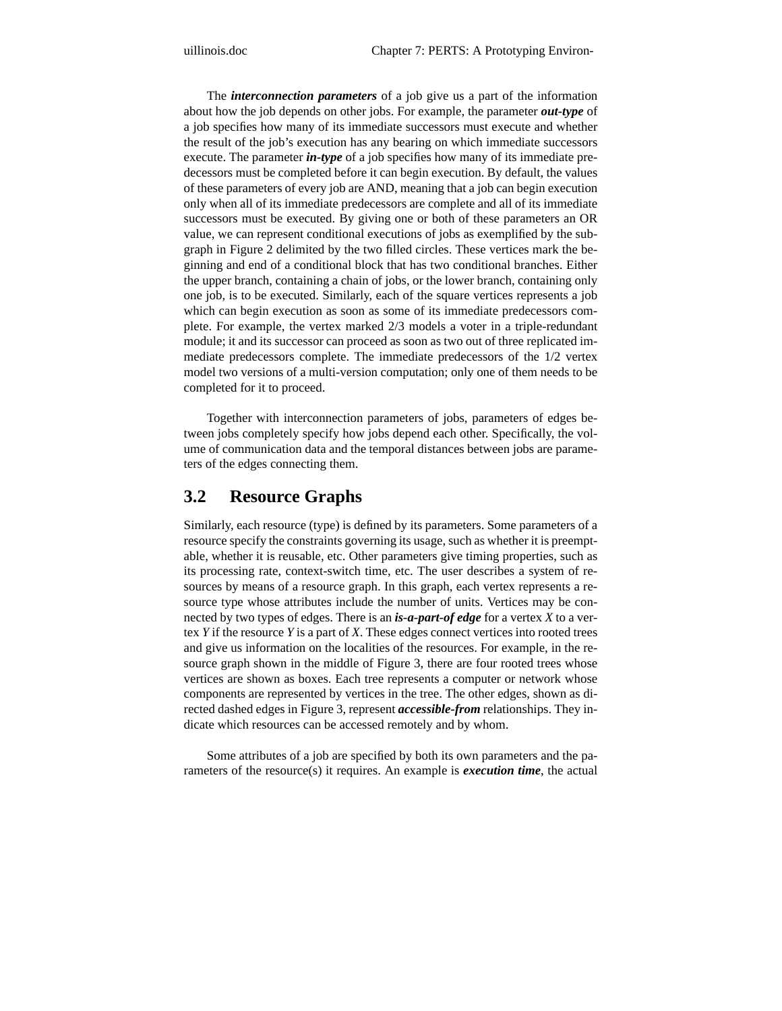The *interconnection parameters* of a job give us a part of the information about how the job depends on other jobs. For example, the parameter *out-type* of a job specifies how many of its immediate successors must execute and whether the result of the job's execution has any bearing on which immediate successors execute. The parameter *in-type* of a job specifies how many of its immediate predecessors must be completed before it can begin execution. By default, the values of these parameters of every job are AND, meaning that a job can begin execution only when all of its immediate predecessors are complete and all of its immediate successors must be executed. By giving one or both of these parameters an OR value, we can represent conditional executions of jobs as exemplified by the subgraph in Figure 2 delimited by the two filled circles. These vertices mark the beginning and end of a conditional block that has two conditional branches. Either the upper branch, containing a chain of jobs, or the lower branch, containing only one job, is to be executed. Similarly, each of the square vertices represents a job which can begin execution as soon as some of its immediate predecessors complete. For example, the vertex marked 2/3 models a voter in a triple-redundant module; it and its successor can proceed as soon as two out of three replicated immediate predecessors complete. The immediate predecessors of the 1/2 vertex model two versions of a multi-version computation; only one of them needs to be completed for it to proceed.

Together with interconnection parameters of jobs, parameters of edges between jobs completely specify how jobs depend each other. Specifically, the volume of communication data and the temporal distances between jobs are parameters of the edges connecting them.

### **3.2 Resource Graphs**

Similarly, each resource (type) is defined by its parameters. Some parameters of a resource specify the constraints governing its usage, such as whether it is preemptable, whether it is reusable, etc. Other parameters give timing properties, such as its processing rate, context-switch time, etc. The user describes a system of resources by means of a resource graph. In this graph, each vertex represents a resource type whose attributes include the number of units. Vertices may be connected by two types of edges. There is an *is-a-part-of edge* for a vertex *X* to a vertex *Y* if the resource *Y* is a part of *X*. These edges connect vertices into rooted trees and give us information on the localities of the resources. For example, in the resource graph shown in the middle of Figure 3, there are four rooted trees whose vertices are shown as boxes. Each tree represents a computer or network whose components are represented by vertices in the tree. The other edges, shown as directed dashed edges in Figure 3, represent *accessible-from* relationships. They indicate which resources can be accessed remotely and by whom.

Some attributes of a job are specified by both its own parameters and the parameters of the resource(s) it requires. An example is *execution time*, the actual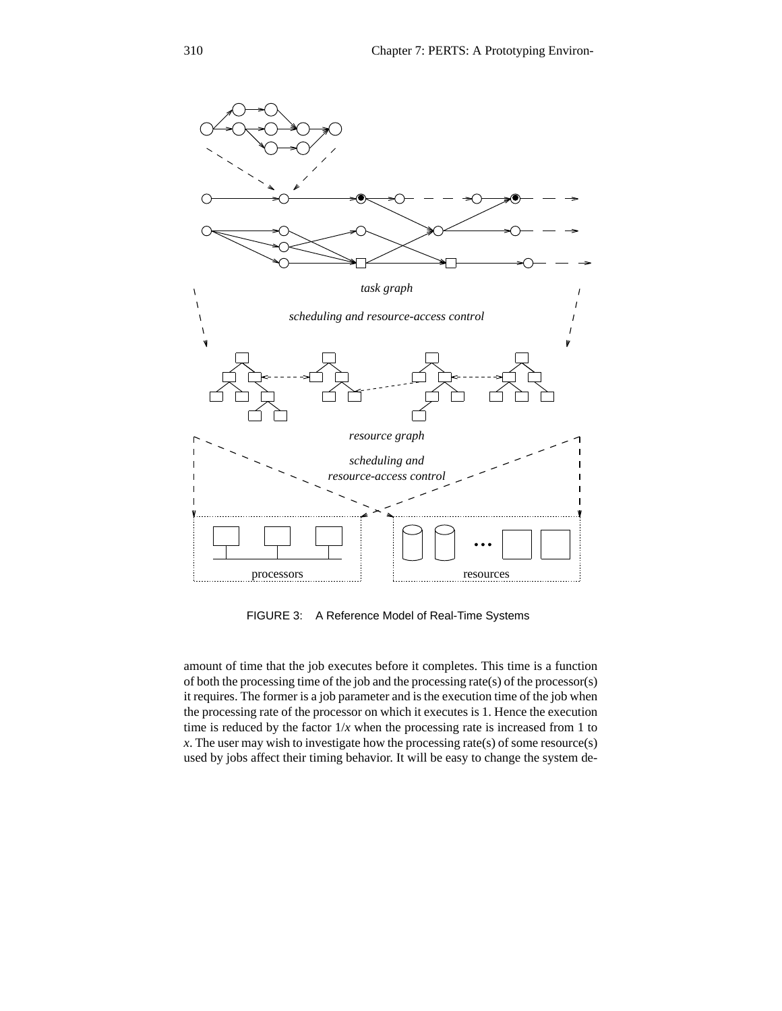

FIGURE 3: A Reference Model of Real-Time Systems

amount of time that the job executes before it completes. This time is a function of both the processing time of the job and the processing rate(s) of the processor(s) it requires. The former is a job parameter and is the execution time of the job when the processing rate of the processor on which it executes is 1. Hence the execution time is reduced by the factor  $1/x$  when the processing rate is increased from 1 to *x*. The user may wish to investigate how the processing rate(s) of some resource(s) used by jobs affect their timing behavior. It will be easy to change the system de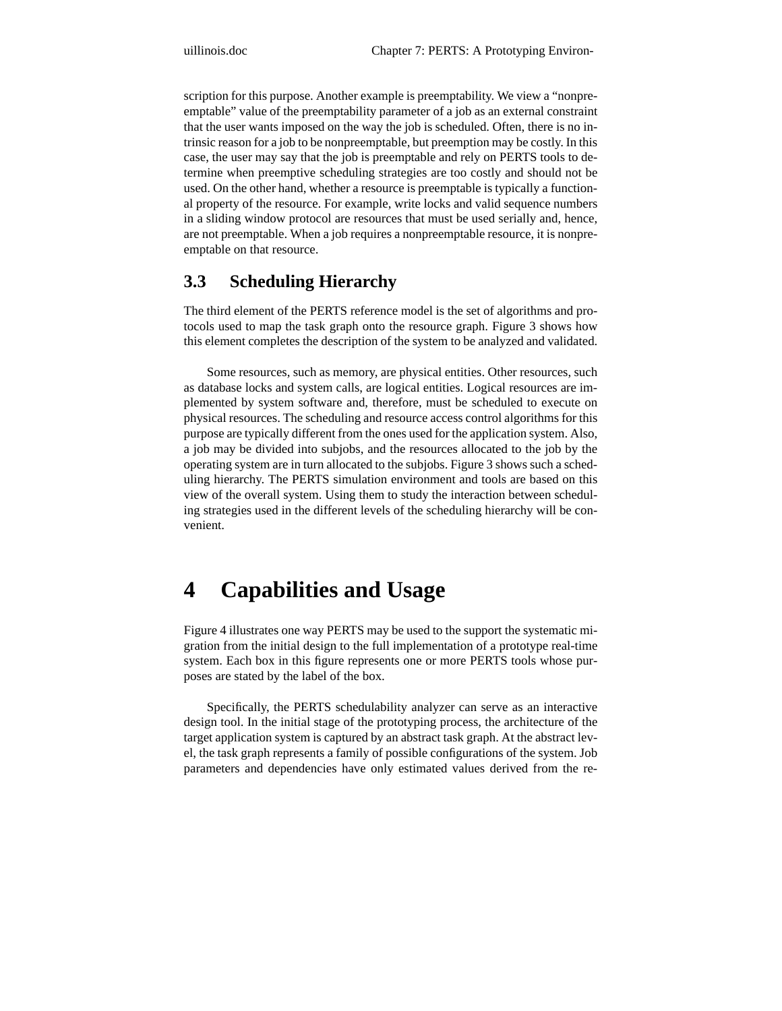scription for this purpose. Another example is preemptability. We view a "nonpreemptable" value of the preemptability parameter of a job as an external constraint that the user wants imposed on the way the job is scheduled. Often, there is no intrinsic reason for a job to be nonpreemptable, but preemption may be costly. In this case, the user may say that the job is preemptable and rely on PERTS tools to determine when preemptive scheduling strategies are too costly and should not be used. On the other hand, whether a resource is preemptable is typically a functional property of the resource. For example, write locks and valid sequence numbers in a sliding window protocol are resources that must be used serially and, hence, are not preemptable. When a job requires a nonpreemptable resource, it is nonpreemptable on that resource.

### **3.3 Scheduling Hierarchy**

The third element of the PERTS reference model is the set of algorithms and protocols used to map the task graph onto the resource graph. Figure 3 shows how this element completes the description of the system to be analyzed and validated.

Some resources, such as memory, are physical entities. Other resources, such as database locks and system calls, are logical entities. Logical resources are implemented by system software and, therefore, must be scheduled to execute on physical resources. The scheduling and resource access control algorithms for this purpose are typically different from the ones used for the application system. Also, a job may be divided into subjobs, and the resources allocated to the job by the operating system are in turn allocated to the subjobs. Figure 3 shows such a scheduling hierarchy. The PERTS simulation environment and tools are based on this view of the overall system. Using them to study the interaction between scheduling strategies used in the different levels of the scheduling hierarchy will be convenient.

# **4 Capabilities and Usage**

Figure 4 illustrates one way PERTS may be used to the support the systematic migration from the initial design to the full implementation of a prototype real-time system. Each box in this figure represents one or more PERTS tools whose purposes are stated by the label of the box.

Specifically, the PERTS schedulability analyzer can serve as an interactive design tool. In the initial stage of the prototyping process, the architecture of the target application system is captured by an abstract task graph. At the abstract level, the task graph represents a family of possible configurations of the system. Job parameters and dependencies have only estimated values derived from the re-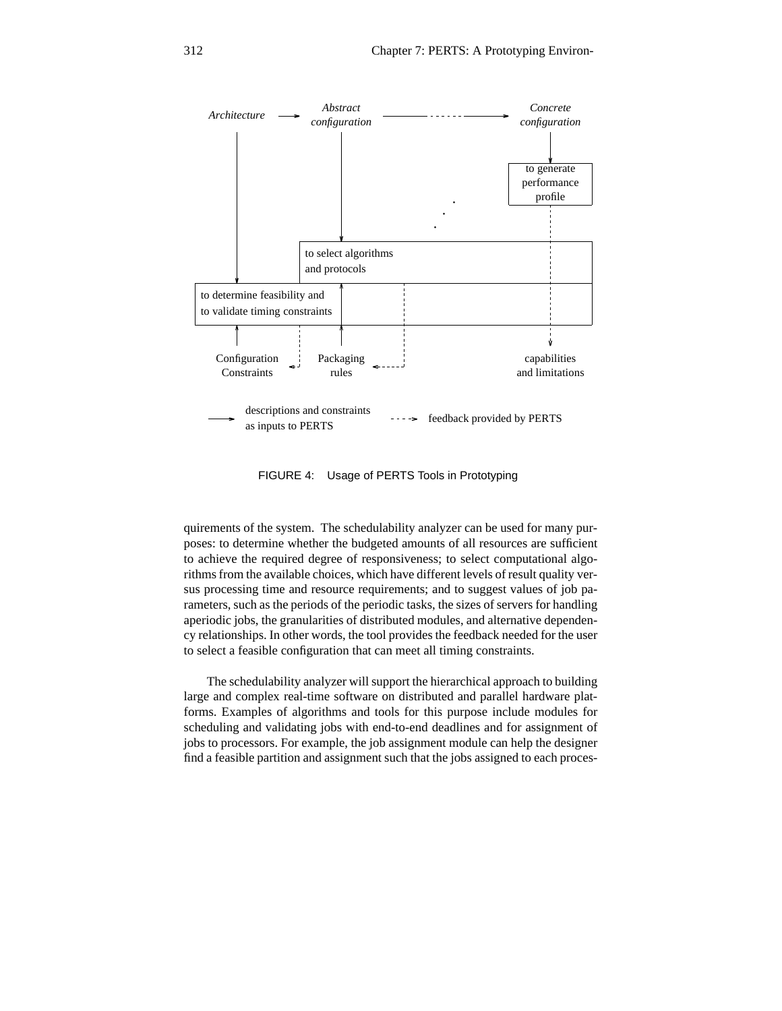

FIGURE 4: Usage of PERTS Tools in Prototyping

quirements of the system. The schedulability analyzer can be used for many purposes: to determine whether the budgeted amounts of all resources are sufficient to achieve the required degree of responsiveness; to select computational algorithms from the available choices, which have different levels of result quality versus processing time and resource requirements; and to suggest values of job parameters, such as the periods of the periodic tasks, the sizes of servers for handling aperiodic jobs, the granularities of distributed modules, and alternative dependency relationships. In other words, the tool provides the feedback needed for the user to select a feasible configuration that can meet all timing constraints.

The schedulability analyzer will support the hierarchical approach to building large and complex real-time software on distributed and parallel hardware platforms. Examples of algorithms and tools for this purpose include modules for scheduling and validating jobs with end-to-end deadlines and for assignment of jobs to processors. For example, the job assignment module can help the designer find a feasible partition and assignment such that the jobs assigned to each proces-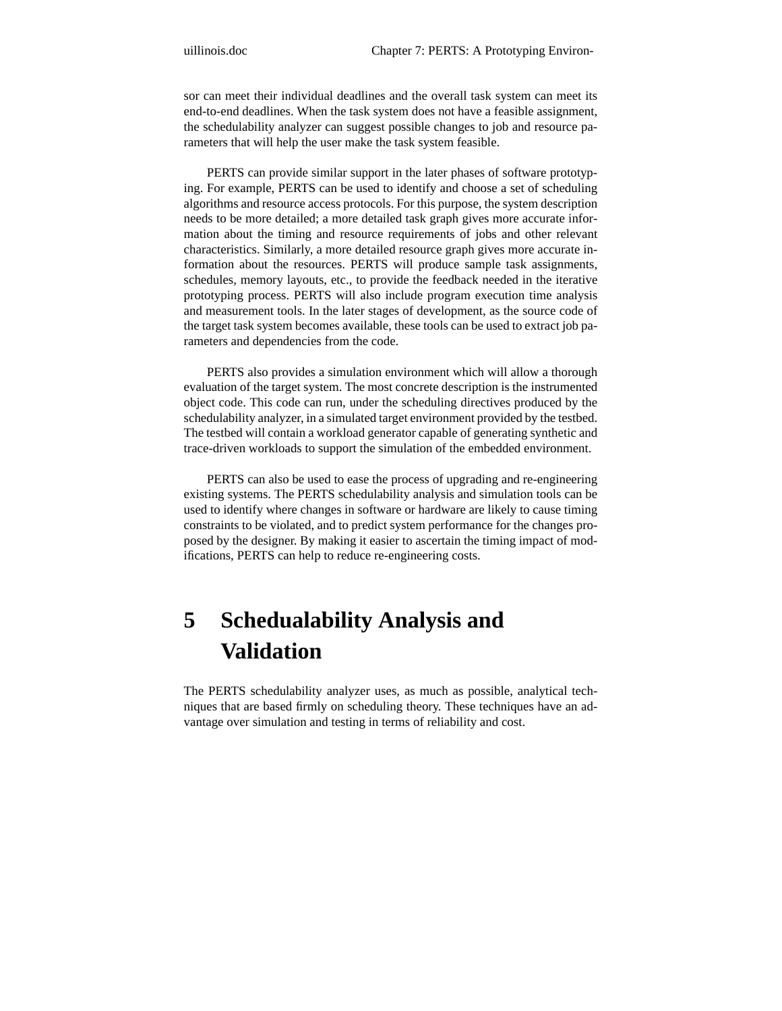sor can meet their individual deadlines and the overall task system can meet its end-to-end deadlines. When the task system does not have a feasible assignment, the schedulability analyzer can suggest possible changes to job and resource parameters that will help the user make the task system feasible.

PERTS can provide similar support in the later phases of software prototyping. For example, PERTS can be used to identify and choose a set of scheduling algorithms and resource access protocols. For this purpose, the system description needs to be more detailed; a more detailed task graph gives more accurate information about the timing and resource requirements of jobs and other relevant characteristics. Similarly, a more detailed resource graph gives more accurate information about the resources. PERTS will produce sample task assignments, schedules, memory layouts, etc., to provide the feedback needed in the iterative prototyping process. PERTS will also include program execution time analysis and measurement tools. In the later stages of development, as the source code of the target task system becomes available, these tools can be used to extract job parameters and dependencies from the code.

PERTS also provides a simulation environment which will allow a thorough evaluation of the target system. The most concrete description is the instrumented object code. This code can run, under the scheduling directives produced by the schedulability analyzer, in a simulated target environment provided by the testbed. The testbed will contain a workload generator capable of generating synthetic and trace-driven workloads to support the simulation of the embedded environment.

PERTS can also be used to ease the process of upgrading and re-engineering existing systems. The PERTS schedulability analysis and simulation tools can be used to identify where changes in software or hardware are likely to cause timing constraints to be violated, and to predict system performance for the changes proposed by the designer. By making it easier to ascertain the timing impact of modifications, PERTS can help to reduce re-engineering costs.

# **5 Schedualability Analysis and Validation**

The PERTS schedulability analyzer uses, as much as possible, analytical techniques that are based firmly on scheduling theory. These techniques have an advantage over simulation and testing in terms of reliability and cost.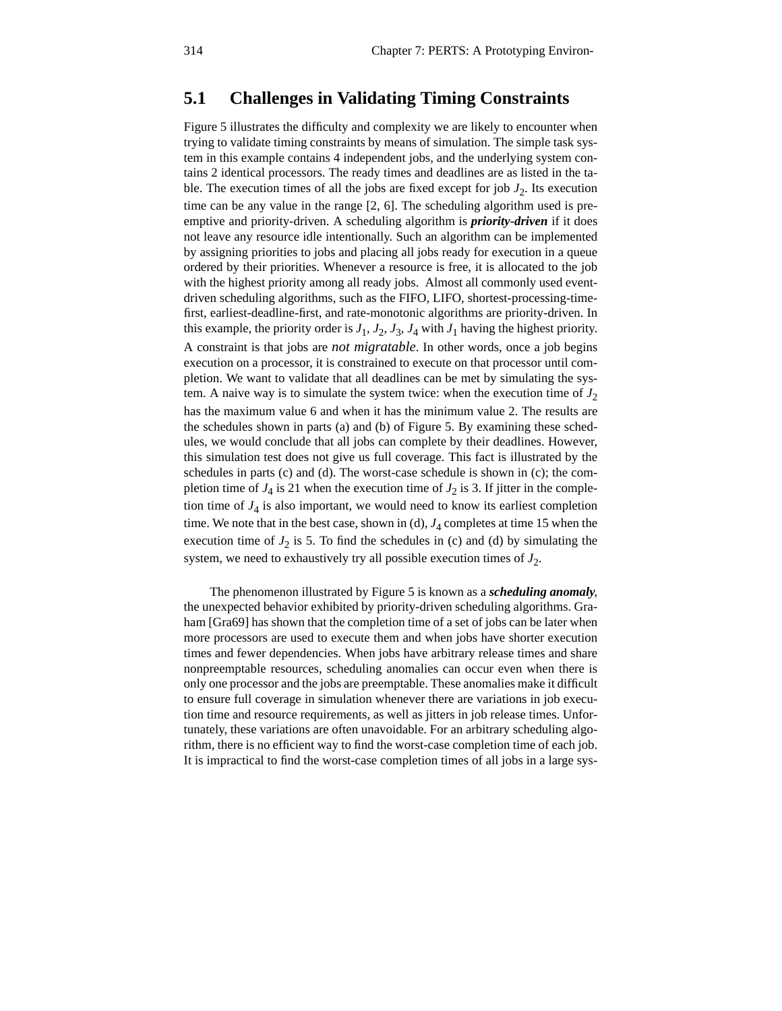### **5.1 Challenges in Validating Timing Constraints**

Figure 5 illustrates the difficulty and complexity we are likely to encounter when trying to validate timing constraints by means of simulation. The simple task system in this example contains 4 independent jobs, and the underlying system contains 2 identical processors. The ready times and deadlines are as listed in the table. The execution times of all the jobs are fixed except for job  $J_2$ . Its execution time can be any value in the range [2, 6]. The scheduling algorithm used is preemptive and priority-driven. A scheduling algorithm is *priority-driven* if it does not leave any resource idle intentionally. Such an algorithm can be implemented by assigning priorities to jobs and placing all jobs ready for execution in a queue ordered by their priorities. Whenever a resource is free, it is allocated to the job with the highest priority among all ready jobs. Almost all commonly used eventdriven scheduling algorithms, such as the FIFO, LIFO, shortest-processing-timefirst, earliest-deadline-first, and rate-monotonic algorithms are priority-driven. In this example, the priority order is  $J_1$ ,  $J_2$ ,  $J_3$ ,  $J_4$  with  $J_1$  having the highest priority. A constraint is that jobs are *not migratable*. In other words, once a job begins execution on a processor, it is constrained to execute on that processor until completion. We want to validate that all deadlines can be met by simulating the system. A naive way is to simulate the system twice: when the execution time of  $J_2$ has the maximum value 6 and when it has the minimum value 2. The results are the schedules shown in parts (a) and (b) of Figure 5. By examining these schedules, we would conclude that all jobs can complete by their deadlines. However, this simulation test does not give us full coverage. This fact is illustrated by the schedules in parts (c) and (d). The worst-case schedule is shown in (c); the completion time of  $J_4$  is 21 when the execution time of  $J_2$  is 3. If jitter in the completion time of *J*<sup>4</sup> is also important, we would need to know its earliest completion time. We note that in the best case, shown in (d),  $J_4$  completes at time 15 when the execution time of  $J_2$  is 5. To find the schedules in (c) and (d) by simulating the system, we need to exhaustively try all possible execution times of  $J_2$ .

 The phenomenon illustrated by Figure 5 is known as a *scheduling anomaly*, the unexpected behavior exhibited by priority-driven scheduling algorithms. Graham [Gra69] has shown that the completion time of a set of jobs can be later when more processors are used to execute them and when jobs have shorter execution times and fewer dependencies. When jobs have arbitrary release times and share nonpreemptable resources, scheduling anomalies can occur even when there is only one processor and the jobs are preemptable. These anomalies make it difficult to ensure full coverage in simulation whenever there are variations in job execution time and resource requirements, as well as jitters in job release times. Unfortunately, these variations are often unavoidable. For an arbitrary scheduling algorithm, there is no efficient way to find the worst-case completion time of each job. It is impractical to find the worst-case completion times of all jobs in a large sys-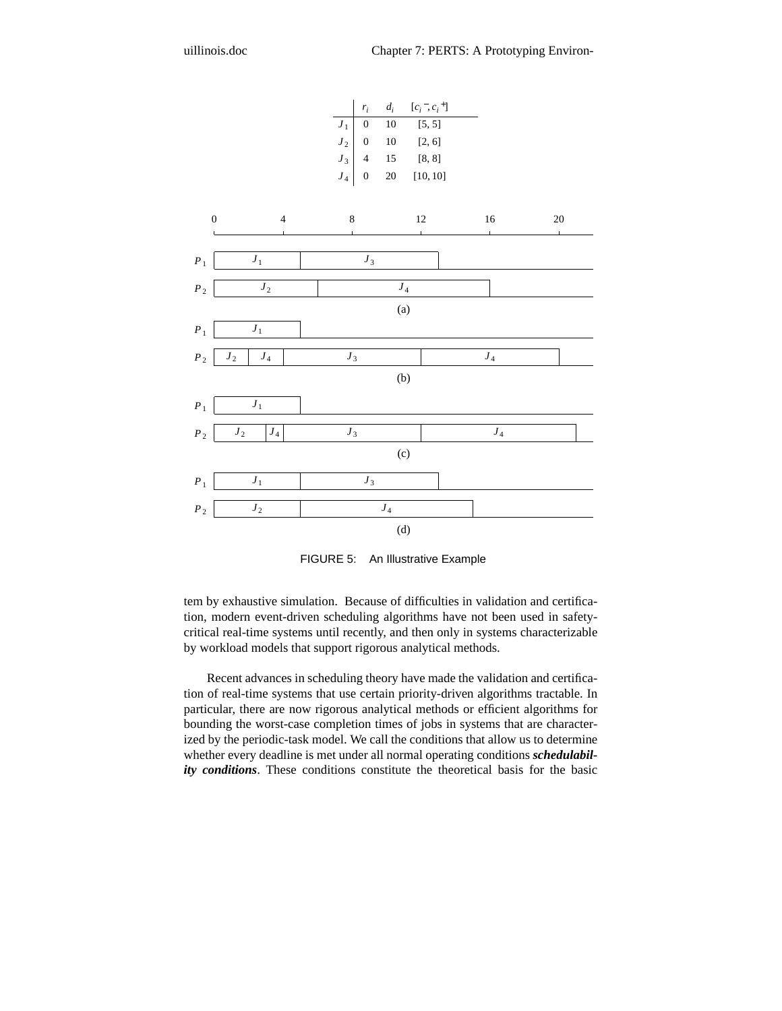

FIGURE 5: An Illustrative Example

tem by exhaustive simulation. Because of difficulties in validation and certification, modern event-driven scheduling algorithms have not been used in safetycritical real-time systems until recently, and then only in systems characterizable by workload models that support rigorous analytical methods.

Recent advances in scheduling theory have made the validation and certification of real-time systems that use certain priority-driven algorithms tractable. In particular, there are now rigorous analytical methods or efficient algorithms for bounding the worst-case completion times of jobs in systems that are characterized by the periodic-task model. We call the conditions that allow us to determine whether every deadline is met under all normal operating conditions *schedulability conditions*. These conditions constitute the theoretical basis for the basic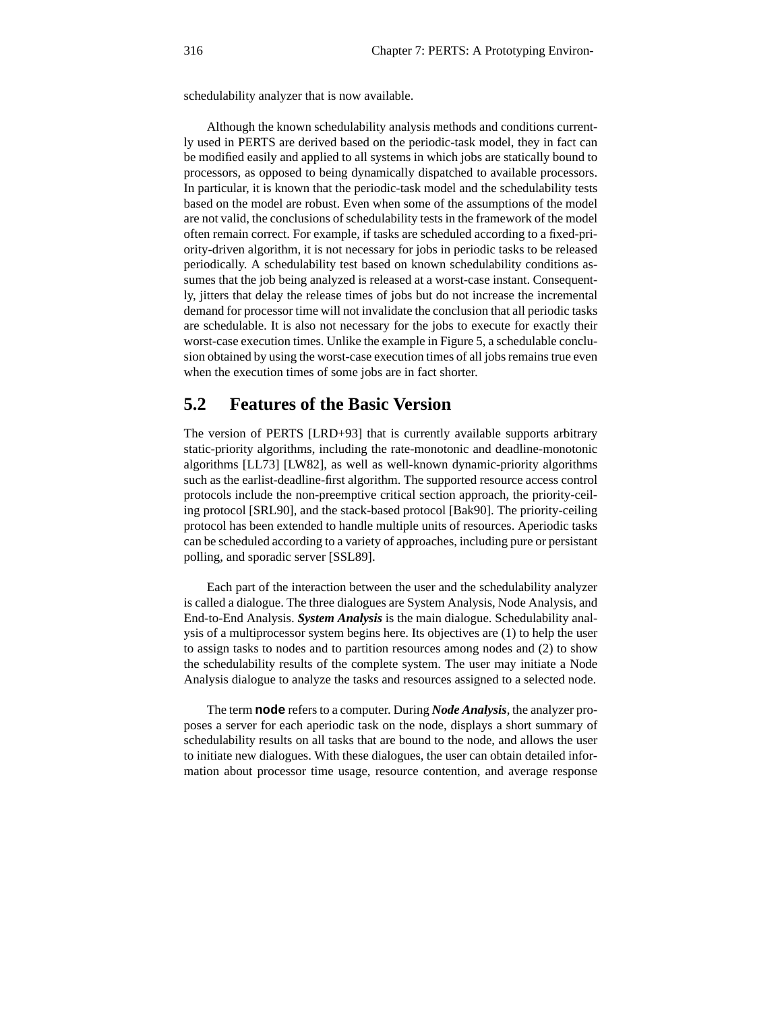schedulability analyzer that is now available.

Although the known schedulability analysis methods and conditions currently used in PERTS are derived based on the periodic-task model, they in fact can be modified easily and applied to all systems in which jobs are statically bound to processors, as opposed to being dynamically dispatched to available processors. In particular, it is known that the periodic-task model and the schedulability tests based on the model are robust. Even when some of the assumptions of the model are not valid, the conclusions of schedulability tests in the framework of the model often remain correct. For example, if tasks are scheduled according to a fixed-priority-driven algorithm, it is not necessary for jobs in periodic tasks to be released periodically. A schedulability test based on known schedulability conditions assumes that the job being analyzed is released at a worst-case instant. Consequently, jitters that delay the release times of jobs but do not increase the incremental demand for processor time will not invalidate the conclusion that all periodic tasks are schedulable. It is also not necessary for the jobs to execute for exactly their worst-case execution times. Unlike the example in Figure 5, a schedulable conclusion obtained by using the worst-case execution times of all jobs remains true even when the execution times of some jobs are in fact shorter.

### **5.2 Features of the Basic Version**

The version of PERTS [LRD+93] that is currently available supports arbitrary static-priority algorithms, including the rate-monotonic and deadline-monotonic algorithms [LL73] [LW82], as well as well-known dynamic-priority algorithms such as the earlist-deadline-first algorithm. The supported resource access control protocols include the non-preemptive critical section approach, the priority-ceiling protocol [SRL90], and the stack-based protocol [Bak90]. The priority-ceiling protocol has been extended to handle multiple units of resources. Aperiodic tasks can be scheduled according to a variety of approaches, including pure or persistant polling, and sporadic server [SSL89].

Each part of the interaction between the user and the schedulability analyzer is called a dialogue. The three dialogues are System Analysis, Node Analysis, and End-to-End Analysis. *System Analysis* is the main dialogue. Schedulability analysis of a multiprocessor system begins here. Its objectives are (1) to help the user to assign tasks to nodes and to partition resources among nodes and (2) to show the schedulability results of the complete system. The user may initiate a Node Analysis dialogue to analyze the tasks and resources assigned to a selected node.

The term **node** refers to a computer. During *Node Analysis*, the analyzer proposes a server for each aperiodic task on the node, displays a short summary of schedulability results on all tasks that are bound to the node, and allows the user to initiate new dialogues. With these dialogues, the user can obtain detailed information about processor time usage, resource contention, and average response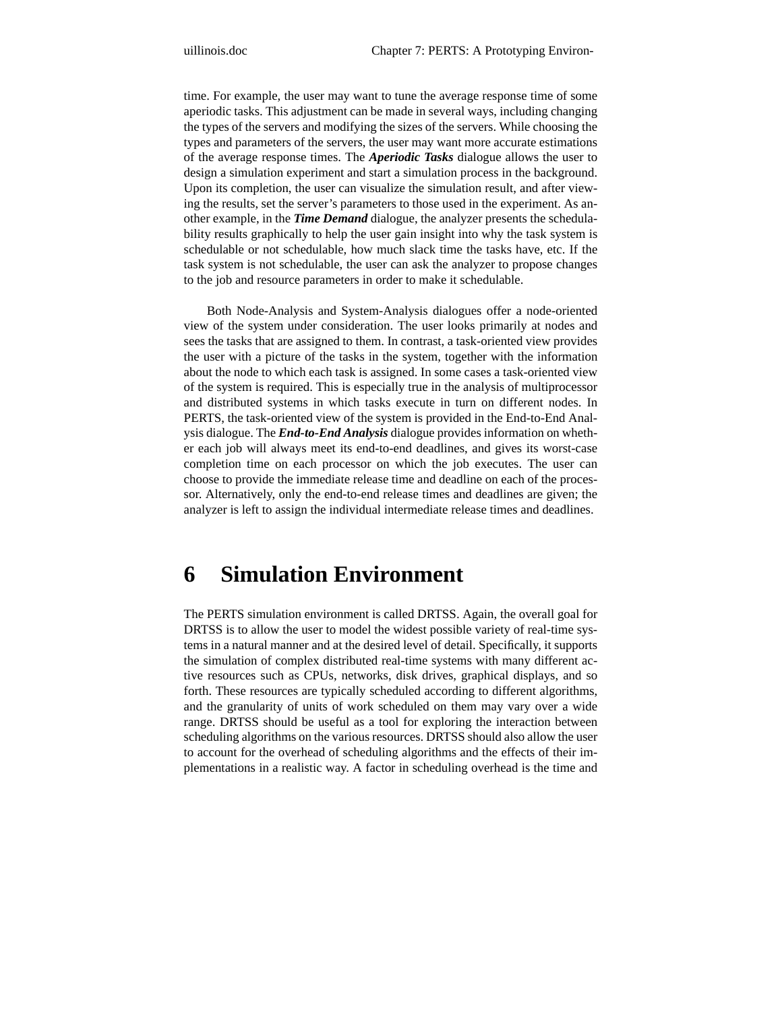time. For example, the user may want to tune the average response time of some aperiodic tasks. This adjustment can be made in several ways, including changing the types of the servers and modifying the sizes of the servers. While choosing the types and parameters of the servers, the user may want more accurate estimations of the average response times. The *Aperiodic Tasks* dialogue allows the user to design a simulation experiment and start a simulation process in the background. Upon its completion, the user can visualize the simulation result, and after viewing the results, set the server's parameters to those used in the experiment. As another example, in the *Time Demand* dialogue, the analyzer presents the schedulability results graphically to help the user gain insight into why the task system is schedulable or not schedulable, how much slack time the tasks have, etc. If the task system is not schedulable, the user can ask the analyzer to propose changes to the job and resource parameters in order to make it schedulable.

Both Node-Analysis and System-Analysis dialogues offer a node-oriented view of the system under consideration. The user looks primarily at nodes and sees the tasks that are assigned to them. In contrast, a task-oriented view provides the user with a picture of the tasks in the system, together with the information about the node to which each task is assigned. In some cases a task-oriented view of the system is required. This is especially true in the analysis of multiprocessor and distributed systems in which tasks execute in turn on different nodes. In PERTS, the task-oriented view of the system is provided in the End-to-End Analysis dialogue. The *End-to-End Analysis* dialogue provides information on whether each job will always meet its end-to-end deadlines, and gives its worst-case completion time on each processor on which the job executes. The user can choose to provide the immediate release time and deadline on each of the processor. Alternatively, only the end-to-end release times and deadlines are given; the analyzer is left to assign the individual intermediate release times and deadlines.

# **6 Simulation Environment**

The PERTS simulation environment is called DRTSS. Again, the overall goal for DRTSS is to allow the user to model the widest possible variety of real-time systems in a natural manner and at the desired level of detail. Specifically, it supports the simulation of complex distributed real-time systems with many different active resources such as CPUs, networks, disk drives, graphical displays, and so forth. These resources are typically scheduled according to different algorithms, and the granularity of units of work scheduled on them may vary over a wide range. DRTSS should be useful as a tool for exploring the interaction between scheduling algorithms on the various resources. DRTSS should also allow the user to account for the overhead of scheduling algorithms and the effects of their implementations in a realistic way. A factor in scheduling overhead is the time and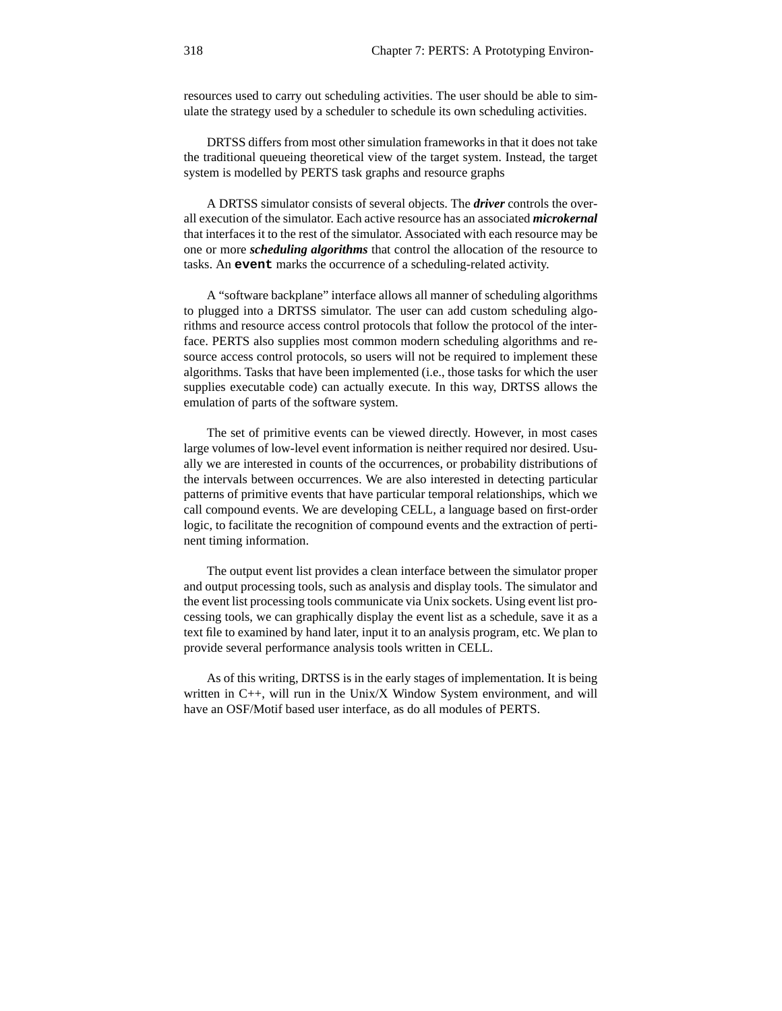resources used to carry out scheduling activities. The user should be able to simulate the strategy used by a scheduler to schedule its own scheduling activities.

DRTSS differs from most other simulation frameworks in that it does not take the traditional queueing theoretical view of the target system. Instead, the target system is modelled by PERTS task graphs and resource graphs

A DRTSS simulator consists of several objects. The *driver* controls the overall execution of the simulator. Each active resource has an associated *microkernal* that interfaces it to the rest of the simulator. Associated with each resource may be one or more *scheduling algorithms* that control the allocation of the resource to tasks. An **event** marks the occurrence of a scheduling-related activity.

A "software backplane" interface allows all manner of scheduling algorithms to plugged into a DRTSS simulator. The user can add custom scheduling algorithms and resource access control protocols that follow the protocol of the interface. PERTS also supplies most common modern scheduling algorithms and resource access control protocols, so users will not be required to implement these algorithms. Tasks that have been implemented (i.e., those tasks for which the user supplies executable code) can actually execute. In this way, DRTSS allows the emulation of parts of the software system.

The set of primitive events can be viewed directly. However, in most cases large volumes of low-level event information is neither required nor desired. Usually we are interested in counts of the occurrences, or probability distributions of the intervals between occurrences. We are also interested in detecting particular patterns of primitive events that have particular temporal relationships, which we call compound events. We are developing CELL, a language based on first-order logic, to facilitate the recognition of compound events and the extraction of pertinent timing information.

The output event list provides a clean interface between the simulator proper and output processing tools, such as analysis and display tools. The simulator and the event list processing tools communicate via Unix sockets. Using event list processing tools, we can graphically display the event list as a schedule, save it as a text file to examined by hand later, input it to an analysis program, etc. We plan to provide several performance analysis tools written in CELL.

As of this writing, DRTSS is in the early stages of implementation. It is being written in C++, will run in the Unix/X Window System environment, and will have an OSF/Motif based user interface, as do all modules of PERTS.